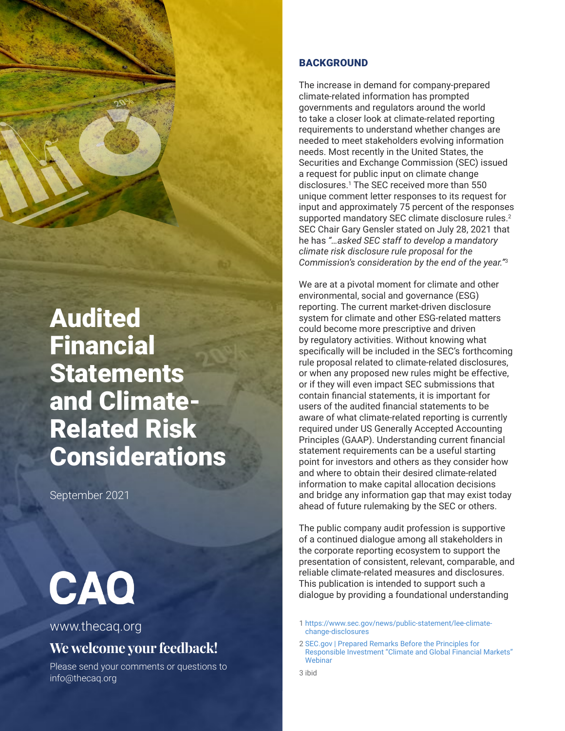# Audited Financial **Statements** and Climate-Related Risk **Considerations**

September 2021

# CAQ

# [www.thecaq.org](http://www.thecaq.org)

# **We welcome your feedback!**

Please send your comments or questions to [info@thecaq.or](mailto:info%40thecaq.org?subject=CAQ%20Publication%20Feedback)g

# **BACKGROUND**

The increase in demand for company-prepared climate-related information has prompted governments and regulators around the world to take a closer look at climate-related reporting requirements to understand whether changes are needed to meet stakeholders evolving information needs. Most recently in the United States, the Securities and Exchange Commission (SEC) issued a request for public input on climate change disclosures.[1](#page--1-0) The SEC received more than 550 unique comment letter responses to its request for input and approximately 75 percent of the responses supported mandatory SEC climate disclosure rules.<sup>[2](#page--1-0)</sup> SEC Chair Gary Gensler stated on July 28, 2021 that he has *"…asked SEC staff to develop a mandatory climate risk disclosure rule proposal for the Commission's consideration by the end of the year."*[3](#page--1-0)

We are at a pivotal moment for climate and other environmental, social and governance (ESG) reporting. The current market-driven disclosure system for climate and other ESG-related matters could become more prescriptive and driven by regulatory activities. Without knowing what specifically will be included in the SEC's forthcoming rule proposal related to climate-related disclosures, or when any proposed new rules might be effective, or if they will even impact SEC submissions that contain financial statements, it is important for users of the audited financial statements to be aware of what climate-related reporting is currently required under US Generally Accepted Accounting Principles (GAAP). Understanding current financial statement requirements can be a useful starting point for investors and others as they consider how and where to obtain their desired climate-related information to make capital allocation decisions and bridge any information gap that may exist today ahead of future rulemaking by the SEC or others.

The public company audit profession is supportive of a continued dialogue among all stakeholders in the corporate reporting ecosystem to support the presentation of consistent, relevant, comparable, and reliable climate-related measures and disclosures. This publication is intended to support such a dialogue by providing a foundational understanding

- 1 [https://www.sec.gov/news/public-statement/lee-climate](https://www.sec.gov/news/public-statement/lee-climate-change-disclosures)[change-disclosures](https://www.sec.gov/news/public-statement/lee-climate-change-disclosures)
- 2 [SEC.gov | Prepared Remarks Before the Principles for](https://www.sec.gov/news/speech/gensler-pri-2021-07-28?utm_medium=email&utm_source=govdelivery)  [Responsible Investment "Climate and Global Financial Markets"](https://www.sec.gov/news/speech/gensler-pri-2021-07-28?utm_medium=email&utm_source=govdelivery)  **[Webinar](https://www.sec.gov/news/speech/gensler-pri-2021-07-28?utm_medium=email&utm_source=govdelivery)**
- 3 ibid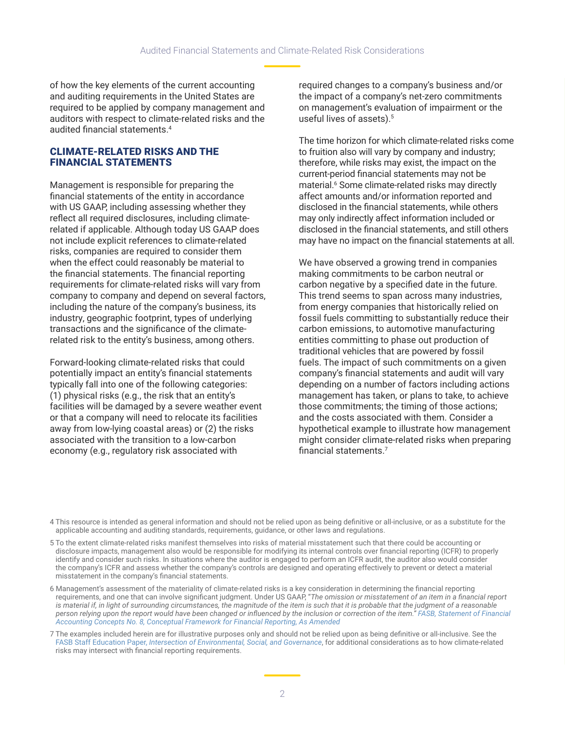of how the key elements of the current accounting and auditing requirements in the United States are required to be applied by company management and auditors with respect to climate-related risks and the audited financial statements.[4](#page--1-0)

## CLIMATE-RELATED RISKS AND THE FINANCIAL STATEMENTS

Management is responsible for preparing the financial statements of the entity in accordance with US GAAP, including assessing whether they reflect all required disclosures, including climaterelated if applicable. Although today US GAAP does not include explicit references to climate-related risks, companies are required to consider them when the effect could reasonably be material to the financial statements. The financial reporting requirements for climate-related risks will vary from company to company and depend on several factors, including the nature of the company's business, its industry, geographic footprint, types of underlying transactions and the significance of the climaterelated risk to the entity's business, among others.

Forward-looking climate-related risks that could potentially impact an entity's financial statements typically fall into one of the following categories: (1) physical risks (e.g., the risk that an entity's facilities will be damaged by a severe weather event or that a company will need to relocate its facilities away from low-lying coastal areas) or (2) the risks associated with the transition to a low-carbon economy (e.g., regulatory risk associated with

required changes to a company's business and/or the impact of a company's net-zero commitments on management's evaluation of impairment or the useful lives of assets).<sup>[5](#page--1-0)</sup>

The time horizon for which climate-related risks come to fruition also will vary by company and industry; therefore, while risks may exist, the impact on the current-period financial statements may not be material[.6](#page--1-0) Some climate-related risks may directly affect amounts and/or information reported and disclosed in the financial statements, while others may only indirectly affect information included or disclosed in the financial statements, and still others may have no impact on the financial statements at all.

We have observed a growing trend in companies making commitments to be carbon neutral or carbon negative by a specified date in the future. This trend seems to span across many industries, from energy companies that historically relied on fossil fuels committing to substantially reduce their carbon emissions, to automotive manufacturing entities committing to phase out production of traditional vehicles that are powered by fossil fuels. The impact of such commitments on a given company's financial statements and audit will vary depending on a number of factors including actions management has taken, or plans to take, to achieve those commitments; the timing of those actions; and the costs associated with them. Consider a hypothetical example to illustrate how management might consider climate-related risks when preparing financial statements.[7](#page--1-0)

4 This resource is intended as general information and should not be relied upon as being definitive or all-inclusive, or as a substitute for the applicable accounting and auditing standards, requirements, guidance, or other laws and regulations.

5 To the extent climate-related risks manifest themselves into risks of material misstatement such that there could be accounting or disclosure impacts, management also would be responsible for modifying its internal controls over financial reporting (ICFR) to properly identify and consider such risks. In situations where the auditor is engaged to perform an ICFR audit, the auditor also would consider the company's ICFR and assess whether the company's controls are designed and operating effectively to prevent or detect a material misstatement in the company's financial statements.

6 Management's assessment of the materiality of climate-related risks is a key consideration in determining the financial reporting requirements, and one that can involve significant judgment. Under US GAAP, "*The omission or misstatement of an item in a financial report is material if, in light of surrounding circumstances, the magnitude of the item is such that it is probable that the judgment of a reasonable person relying upon the report would have been changed or influenced by the inclusion or correction of the item." [FASB, Statement of Financial](https://www.fasb.org/jsp/FASB/Document_C/DocumentPage?cid=1176171111398&acceptedDisclaimer=true)  [Accounting Concepts No. 8, Conceptual Framework for Financial Reporting, As Amended](https://www.fasb.org/jsp/FASB/Document_C/DocumentPage?cid=1176171111398&acceptedDisclaimer=true)*

7 The examples included herein are for illustrative purposes only and should not be relied upon as being definitive or all-inclusive. See the FASB Staff Education Paper, *[Intersection of Environmental, Social, and Governance](https://fasb.org/cs/ContentServer?c=Document_C&cid=1176176379917&d=&pagename=FASB%2FDocument_C%2FDocumentPage)*, for additional considerations as to how climate-related risks may intersect with financial reporting requirements.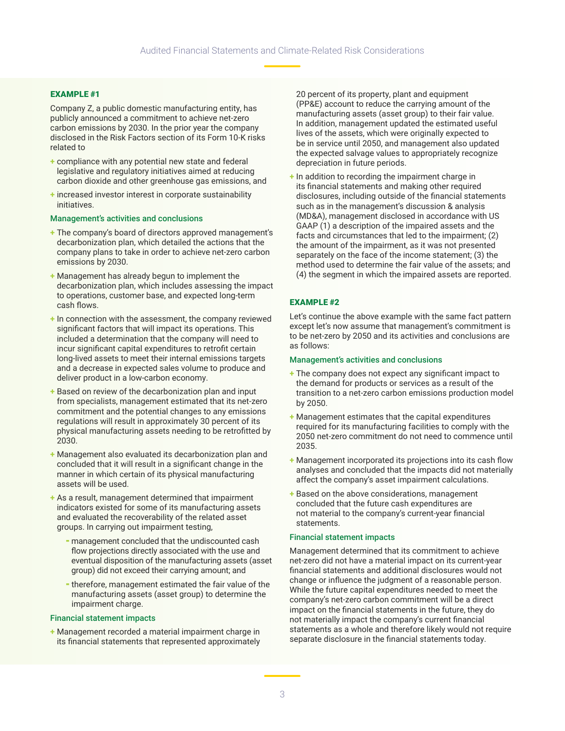#### EXAMPLE #1

Company Z, a public domestic manufacturing entity, has publicly announced a commitment to achieve net-zero carbon emissions by 2030. In the prior year the company disclosed in the Risk Factors section of its Form 10-K risks related to

- **+** compliance with any potential new state and federal legislative and regulatory initiatives aimed at reducing carbon dioxide and other greenhouse gas emissions, and
- **+** increased investor interest in corporate sustainability initiatives.

#### Management's activities and conclusions

- **+** The company's board of directors approved management's decarbonization plan, which detailed the actions that the company plans to take in order to achieve net-zero carbon emissions by 2030.
- **+** Management has already begun to implement the decarbonization plan, which includes assessing the impact to operations, customer base, and expected long-term cash flows.
- **+** In connection with the assessment, the company reviewed significant factors that will impact its operations. This included a determination that the company will need to incur significant capital expenditures to retrofit certain long-lived assets to meet their internal emissions targets and a decrease in expected sales volume to produce and deliver product in a low-carbon economy.
- **+** Based on review of the decarbonization plan and input from specialists, management estimated that its net-zero commitment and the potential changes to any emissions regulations will result in approximately 30 percent of its physical manufacturing assets needing to be retrofitted by 2030.
- **+** Management also evaluated its decarbonization plan and concluded that it will result in a significant change in the manner in which certain of its physical manufacturing assets will be used.
- **+** As a result, management determined that impairment indicators existed for some of its manufacturing assets and evaluated the recoverability of the related asset groups. In carrying out impairment testing,
	- ⁃ management concluded that the undiscounted cash flow projections directly associated with the use and eventual disposition of the manufacturing assets (asset group) did not exceed their carrying amount; and
	- ⁃ therefore, management estimated the fair value of the manufacturing assets (asset group) to determine the impairment charge.

#### Financial statement impacts

**+** Management recorded a material impairment charge in its financial statements that represented approximately

20 percent of its property, plant and equipment (PP&E) account to reduce the carrying amount of the manufacturing assets (asset group) to their fair value. In addition, management updated the estimated useful lives of the assets, which were originally expected to be in service until 2050, and management also updated the expected salvage values to appropriately recognize depreciation in future periods.

**+** In addition to recording the impairment charge in its financial statements and making other required disclosures, including outside of the financial statements such as in the management's discussion & analysis (MD&A), management disclosed in accordance with US GAAP (1) a description of the impaired assets and the facts and circumstances that led to the impairment; (2) the amount of the impairment, as it was not presented separately on the face of the income statement; (3) the method used to determine the fair value of the assets; and (4) the segment in which the impaired assets are reported.

#### EXAMPLE #2

Let's continue the above example with the same fact pattern except let's now assume that management's commitment is to be net-zero by 2050 and its activities and conclusions are as follows:

#### Management's activities and conclusions

- **+** The company does not expect any significant impact to the demand for products or services as a result of the transition to a net-zero carbon emissions production model by 2050.
- **+** Management estimates that the capital expenditures required for its manufacturing facilities to comply with the 2050 net-zero commitment do not need to commence until 2035.
- **+** Management incorporated its projections into its cash flow analyses and concluded that the impacts did not materially affect the company's asset impairment calculations.
- **+** Based on the above considerations, management concluded that the future cash expenditures are not material to the company's current-year financial statements.

#### Financial statement impacts

Management determined that its commitment to achieve net-zero did not have a material impact on its current-year financial statements and additional disclosures would not change or influence the judgment of a reasonable person. While the future capital expenditures needed to meet the company's net-zero carbon commitment will be a direct impact on the financial statements in the future, they do not materially impact the company's current financial statements as a whole and therefore likely would not require separate disclosure in the financial statements today.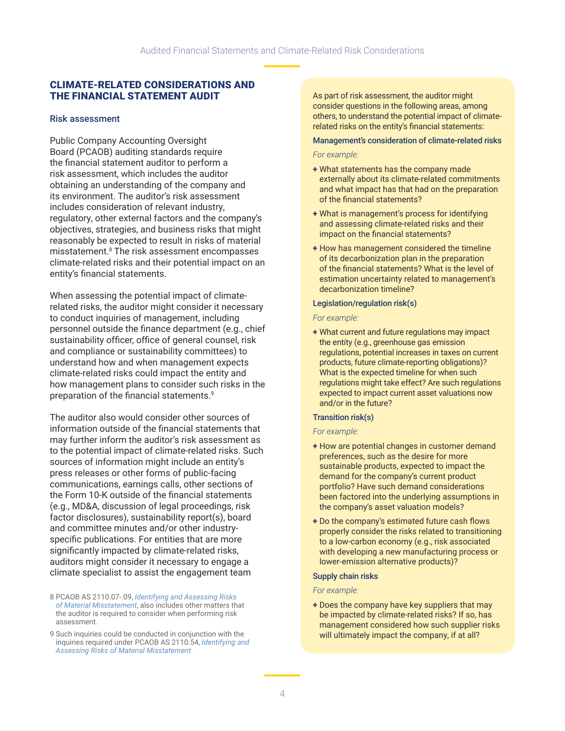# CLIMATE-RELATED CONSIDERATIONS AND THE FINANCIAL STATEMENT AUDIT

#### Risk assessment

Public Company Accounting Oversight Board (PCAOB) auditing standards require the financial statement auditor to perform a risk assessment, which includes the auditor obtaining an understanding of the company and its environment. The auditor's risk assessment includes consideration of relevant industry, regulatory, other external factors and the company's objectives, strategies, and business risks that might reasonably be expected to result in risks of material misstatement.<sup>8</sup> The risk assessment encompasses climate-related risks and their potential impact on an entity's financial statements.

When assessing the potential impact of climaterelated risks, the auditor might consider it necessary to conduct inquiries of management, including personnel outside the finance department (e.g., chief sustainability officer, office of general counsel, risk and compliance or sustainability committees) to understand how and when management expects climate-related risks could impact the entity and how management plans to consider such risks in the preparation of the financial statements.[9](#page--1-0)

The auditor also would consider other sources of information outside of the financial statements that may further inform the auditor's risk assessment as to the potential impact of climate-related risks. Such sources of information might include an entity's press releases or other forms of public-facing communications, earnings calls, other sections of the Form 10-K outside of the financial statements (e.g., MD&A, discussion of legal proceedings, risk factor disclosures), sustainability report(s), board and committee minutes and/or other industryspecific publications. For entities that are more significantly impacted by climate-related risks, auditors might consider it necessary to engage a climate specialist to assist the engagement team

8 PCAOB AS 2110.07-.09, *[Identifying and Assessing Risks](https://pcaobus.org/oversight/standards/auditing-standards/details/AS2110)  [of Material Misstatement](https://pcaobus.org/oversight/standards/auditing-standards/details/AS2110)*, also includes other matters that the auditor is required to consider when performing risk assessment.

9 Such inquiries could be conducted in conjunction with the inquiries required under PCAOB AS 2110.54, *[Identifying and](https://pcaobus.org/oversight/standards/auditing-standards/details/AS2110)  [Assessing Risks of Material Misstatement](https://pcaobus.org/oversight/standards/auditing-standards/details/AS2110)*.

As part of risk assessment, the auditor might consider questions in the following areas, among others, to understand the potential impact of climaterelated risks on the entity's financial statements:

#### Management's consideration of climate-related risks

#### *For example:*

- + What statements has the company made externally about its climate-related commitments and what impact has that had on the preparation of the financial statements?
- + What is management's process for identifying and assessing climate-related risks and their impact on the financial statements?
- + How has management considered the timeline of its decarbonization plan in the preparation of the financial statements? What is the level of estimation uncertainty related to management's decarbonization timeline?

#### Legislation/regulation risk(s)

#### *For example:*

+ What current and future regulations may impact the entity (e.g., greenhouse gas emission regulations, potential increases in taxes on current products, future climate-reporting obligations)? What is the expected timeline for when such regulations might take effect? Are such regulations expected to impact current asset valuations now and/or in the future?

#### Transition risk(s)

#### *For example:*

- + How are potential changes in customer demand preferences, such as the desire for more sustainable products, expected to impact the demand for the company's current product portfolio? Have such demand considerations been factored into the underlying assumptions in the company's asset valuation models?
- + Do the company's estimated future cash flows properly consider the risks related to transitioning to a low-carbon economy (e.g., risk associated with developing a new manufacturing process or lower-emission alternative products)?

#### Supply chain risks

#### *For example:*

+ Does the company have key suppliers that may be impacted by climate-related risks? If so, has management considered how such supplier risks will ultimately impact the company, if at all?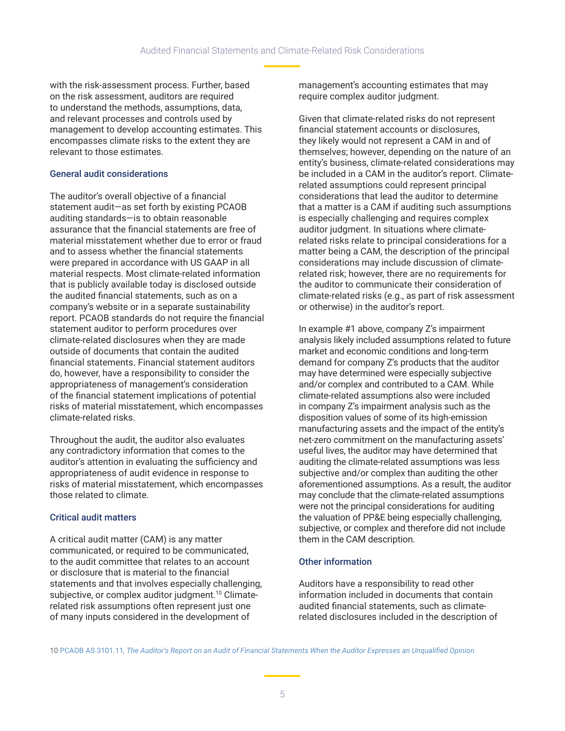with the risk-assessment process. Further, based on the risk assessment, auditors are required to understand the methods, assumptions, data, and relevant processes and controls used by management to develop accounting estimates. This encompasses climate risks to the extent they are relevant to those estimates.

## General audit considerations

The auditor's overall objective of a financial statement audit—as set forth by existing PCAOB auditing standards—is to obtain reasonable assurance that the financial statements are free of material misstatement whether due to error or fraud and to assess whether the financial statements were prepared in accordance with US GAAP in all material respects. Most climate-related information that is publicly available today is disclosed outside the audited financial statements, such as on a company's website or in a separate sustainability report. PCAOB standards do not require the financial statement auditor to perform procedures over climate-related disclosures when they are made outside of documents that contain the audited financial statements. Financial statement auditors do, however, have a responsibility to consider the appropriateness of management's consideration of the financial statement implications of potential risks of material misstatement, which encompasses climate-related risks.

Throughout the audit, the auditor also evaluates any contradictory information that comes to the auditor's attention in evaluating the sufficiency and appropriateness of audit evidence in response to risks of material misstatement, which encompasses those related to climate.

# Critical audit matters

A critical audit matter (CAM) is any matter communicated, or required to be communicated, to the audit committee that relates to an account or disclosure that is material to the financial statements and that involves especially challenging, subjective, or complex auditor judgment.<sup>[10](#page--1-0)</sup> Climaterelated risk assumptions often represent just one of many inputs considered in the development of

management's accounting estimates that may require complex auditor judgment.

Given that climate-related risks do not represent financial statement accounts or disclosures, they likely would not represent a CAM in and of themselves; however, depending on the nature of an entity's business, climate-related considerations may be included in a CAM in the auditor's report. Climaterelated assumptions could represent principal considerations that lead the auditor to determine that a matter is a CAM if auditing such assumptions is especially challenging and requires complex auditor judgment. In situations where climaterelated risks relate to principal considerations for a matter being a CAM, the description of the principal considerations may include discussion of climaterelated risk; however, there are no requirements for the auditor to communicate their consideration of climate-related risks (e.g., as part of risk assessment or otherwise) in the auditor's report.

In example #1 above, company Z's impairment analysis likely included assumptions related to future market and economic conditions and long-term demand for company Z's products that the auditor may have determined were especially subjective and/or complex and contributed to a CAM. While climate-related assumptions also were included in company Z's impairment analysis such as the disposition values of some of its high-emission manufacturing assets and the impact of the entity's net-zero commitment on the manufacturing assets' useful lives, the auditor may have determined that auditing the climate-related assumptions was less subjective and/or complex than auditing the other aforementioned assumptions. As a result, the auditor may conclude that the climate-related assumptions were not the principal considerations for auditing the valuation of PP&E being especially challenging, subjective, or complex and therefore did not include them in the CAM description.

# Other information

Auditors have a responsibility to read other information included in documents that contain audited financial statements, such as climaterelated disclosures included in the description of

10 PCAOB AS 3101.11*[, The Auditor's Report on an Audit of Financial Statements When the Auditor Expresses an Unqualified Opinion](https://pcaobus.org/oversight/standards/auditing-standards/details/AS3101)*